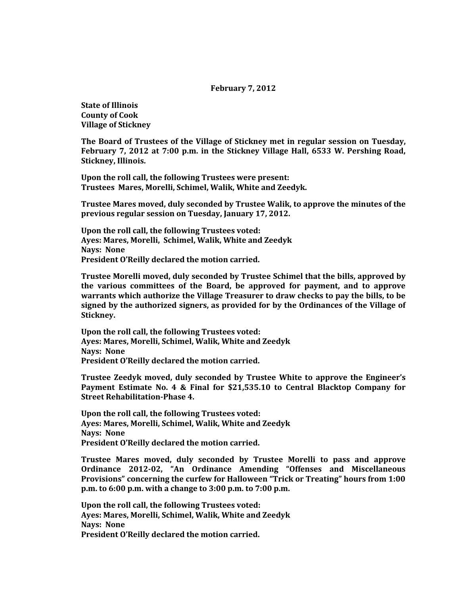## **February 7, 2012**

**State of Illinois County of Cook Village of Stickney**

**The Board of Trustees of the Village of Stickney met in regular session on Tuesday, February 7, 2012 at 7:00 p.m. in the Stickney Village Hall, 6533 W. Pershing Road, Stickney, Illinois.**

**Upon the roll call, the following Trustees were present: Trustees Mares, Morelli, Schimel, Walik, White and Zeedyk.** 

**Trustee Mares moved, duly seconded by Trustee Walik, to approve the minutes of the previous regular session on Tuesday, January 17, 2012.**

**Upon the roll call, the following Trustees voted: Ayes: Mares, Morelli, Schimel, Walik, White and Zeedyk Nays: None President O'Reilly declared the motion carried.**

**Trustee Morelli moved, duly seconded by Trustee Schimel that the bills, approved by the various committees of the Board, be approved for payment, and to approve warrants which authorize the Village Treasurer to draw checks to pay the bills, to be signed by the authorized signers, as provided for by the Ordinances of the Village of Stickney.**

**Upon the roll call, the following Trustees voted: Ayes: Mares, Morelli, Schimel, Walik, White and Zeedyk Nays: None President O'Reilly declared the motion carried.**

**Trustee Zeedyk moved, duly seconded by Trustee White to approve the Engineer's Payment Estimate No. 4 & Final for \$21,535.10 to Central Blacktop Company for Street Rehabilitation-Phase 4.**

**Upon the roll call, the following Trustees voted: Ayes: Mares, Morelli, Schimel, Walik, White and Zeedyk Nays: None President O'Reilly declared the motion carried.**

**Trustee Mares moved, duly seconded by Trustee Morelli to pass and approve Ordinance 2012-02, "An Ordinance Amending "Offenses and Miscellaneous Provisions" concerning the curfew for Halloween "Trick or Treating" hours from 1:00 p.m. to 6:00 p.m. with a change to 3:00 p.m. to 7:00 p.m.**

**Upon the roll call, the following Trustees voted: Ayes: Mares, Morelli, Schimel, Walik, White and Zeedyk Nays: None President O'Reilly declared the motion carried.**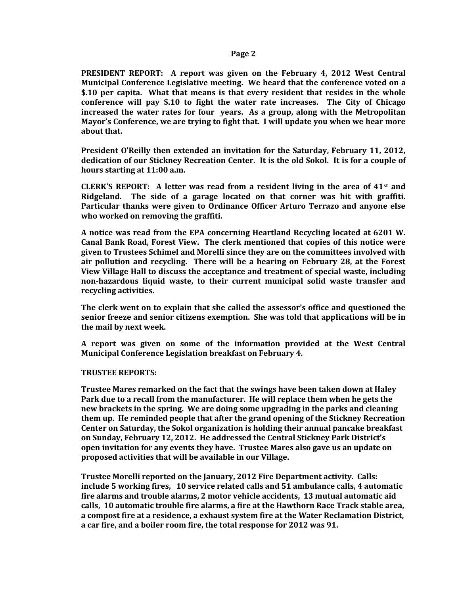## **Page 2**

**PRESIDENT REPORT: A report was given on the February 4, 2012 West Central Municipal Conference Legislative meeting. We heard that the conference voted on a \$.10 per capita. What that means is that every resident that resides in the whole conference will pay \$.10 to fight the water rate increases. The City of Chicago increased the water rates for four years. As a group, along with the Metropolitan Mayor's Conference, we are trying to fight that. I will update you when we hear more about that.** 

**President O'Reilly then extended an invitation for the Saturday, February 11, 2012, dedication of our Stickney Recreation Center. It is the old Sokol. It is for a couple of hours starting at 11:00 a.m.** 

**CLERK'S REPORT: A letter was read from a resident living in the area of 41st and Ridgeland. The side of a garage located on that corner was hit with graffiti. Particular thanks were given to Ordinance Officer Arturo Terrazo and anyone else who worked on removing the graffiti.**

**A notice was read from the EPA concerning Heartland Recycling located at 6201 W. Canal Bank Road, Forest View. The clerk mentioned that copies of this notice were given to Trustees Schimel and Morelli since they are on the committees involved with air pollution and recycling. There will be a hearing on February 28, at the Forest View Village Hall to discuss the acceptance and treatment of special waste, including non-hazardous liquid waste, to their current municipal solid waste transfer and recycling activities.**

**The clerk went on to explain that she called the assessor's office and questioned the senior freeze and senior citizens exemption. She was told that applications will be in the mail by next week.** 

**A report was given on some of the information provided at the West Central Municipal Conference Legislation breakfast on February 4.**

# **TRUSTEE REPORTS:**

**Trustee Mares remarked on the fact that the swings have been taken down at Haley Park due to a recall from the manufacturer. He will replace them when he gets the new brackets in the spring. We are doing some upgrading in the parks and cleaning them up. He reminded people that after the grand opening of the Stickney Recreation Center on Saturday, the Sokol organization is holding their annual pancake breakfast on Sunday, February 12, 2012. He addressed the Central Stickney Park District's open invitation for any events they have. Trustee Mares also gave us an update on proposed activities that will be available in our Village.** 

**Trustee Morelli reported on the January, 2012 Fire Department activity. Calls: include 5 working fires, 10 service related calls and 51 ambulance calls, 4 automatic fire alarms and trouble alarms, 2 motor vehicle accidents, 13 mutual automatic aid calls, 10 automatic trouble fire alarms, a fire at the Hawthorn Race Track stable area, a compost fire at a residence, a exhaust system fire at the Water Reclamation District, a car fire, and a boiler room fire, the total response for 2012 was 91.**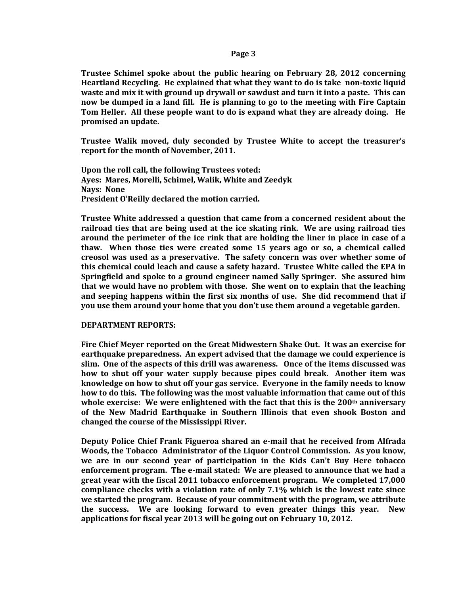## **Page 3**

**Trustee Schimel spoke about the public hearing on February 28, 2012 concerning Heartland Recycling. He explained that what they want to do is take non-toxic liquid waste and mix it with ground up drywall or sawdust and turn it into a paste. This can now be dumped in a land fill. He is planning to go to the meeting with Fire Captain Tom Heller. All these people want to do is expand what they are already doing. He promised an update.** 

**Trustee Walik moved, duly seconded by Trustee White to accept the treasurer's report for the month of November, 2011.**

**Upon the roll call, the following Trustees voted: Ayes: Mares, Morelli, Schimel, Walik, White and Zeedyk Nays: None President O'Reilly declared the motion carried.**

**Trustee White addressed a question that came from a concerned resident about the railroad ties that are being used at the ice skating rink. We are using railroad ties around the perimeter of the ice rink that are holding the liner in place in case of a thaw. When those ties were created some 15 years ago or so, a chemical called creosol was used as a preservative. The safety concern was over whether some of this chemical could leach and cause a safety hazard. Trustee White called the EPA in Springfield and spoke to a ground engineer named Sally Springer. She assured him that we would have no problem with those. She went on to explain that the leaching and seeping happens within the first six months of use. She did recommend that if you use them around your home that you don't use them around a vegetable garden.** 

#### **DEPARTMENT REPORTS:**

**Fire Chief Meyer reported on the Great Midwestern Shake Out. It was an exercise for earthquake preparedness. An expert advised that the damage we could experience is slim. One of the aspects of this drill was awareness. Once of the items discussed was how to shut off your water supply because pipes could break. Another item was knowledge on how to shut off your gas service. Everyone in the family needs to know how to do this. The following was the most valuable information that came out of this whole exercise: We were enlightened with the fact that this is the 200th anniversary of the New Madrid Earthquake in Southern Illinois that even shook Boston and changed the course of the Mississippi River.**

**Deputy Police Chief Frank Figueroa shared an e-mail that he received from Alfrada Woods, the Tobacco Administrator of the Liquor Control Commission. As you know, we are in our second year of participation in the Kids Can't Buy Here tobacco enforcement program. The e-mail stated: We are pleased to announce that we had a great year with the fiscal 2011 tobacco enforcement program. We completed 17,000 compliance checks with a violation rate of only 7.1% which is the lowest rate since we started the program. Because of your commitment with the program, we attribute the success. We are looking forward to even greater things this year. New applications for fiscal year 2013 will be going out on February 10, 2012.**